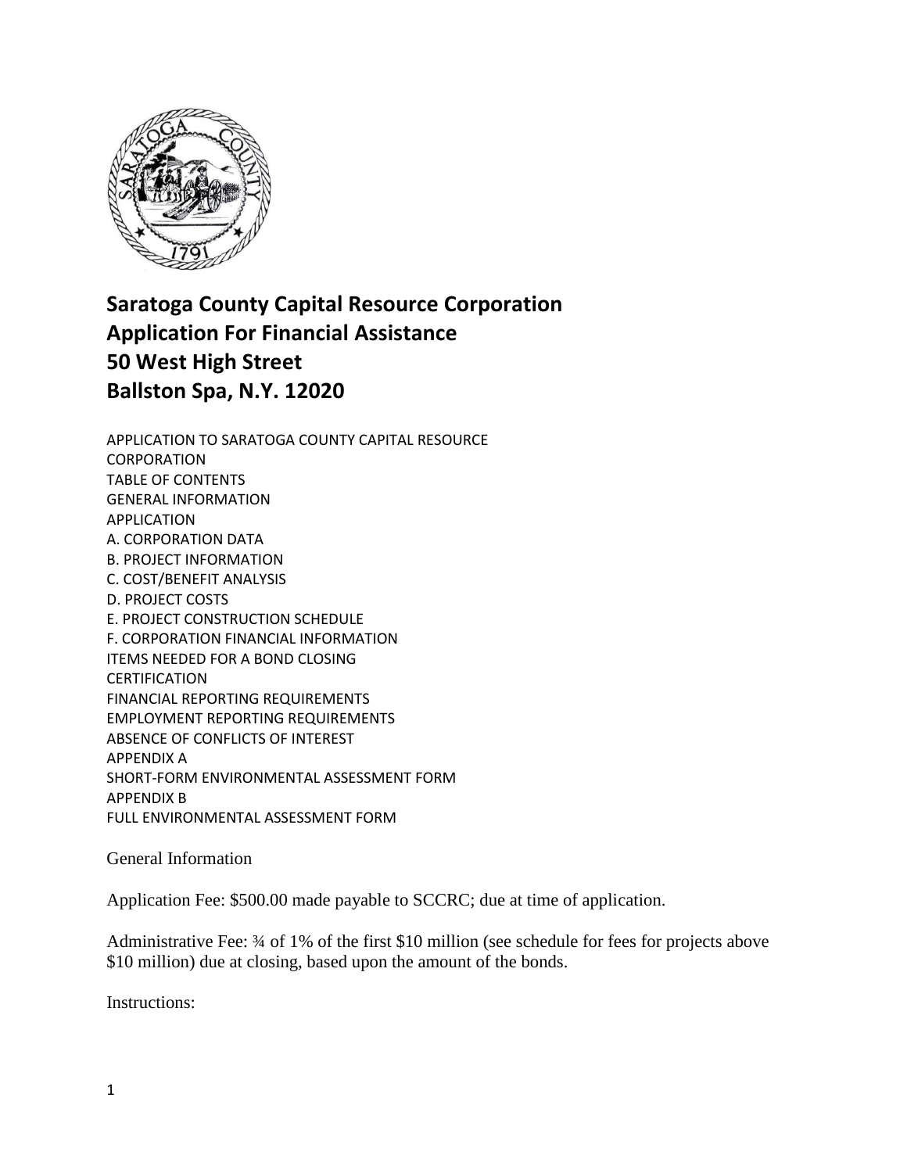

# **Saratoga County Capital Resource Corporation Application For Financial Assistance 50 West High Street Ballston Spa, N.Y. 12020**

APPLICATION TO SARATOGA COUNTY CAPITAL RESOURCE CORPORATION TABLE OF CONTENTS GENERAL INFORMATION APPLICATION A. CORPORATION DATA B. PROJECT INFORMATION C. COST/BENEFIT ANALYSIS D. PROJECT COSTS E. PROJECT CONSTRUCTION SCHEDULE F. CORPORATION FINANCIAL INFORMATION ITEMS NEEDED FOR A BOND CLOSING CERTIFICATION FINANCIAL REPORTING REQUIREMENTS EMPLOYMENT REPORTING REQUIREMENTS ABSENCE OF CONFLICTS OF INTEREST APPENDIX A SHORT-FORM ENVIRONMENTAL ASSESSMENT FORM APPENDIX B FULL ENVIRONMENTAL ASSESSMENT FORM

General Information

Application Fee: \$500.00 made payable to SCCRC; due at time of application.

Administrative Fee: ¾ of 1% of the first \$10 million (see schedule for fees for projects above \$10 million) due at closing, based upon the amount of the bonds.

Instructions: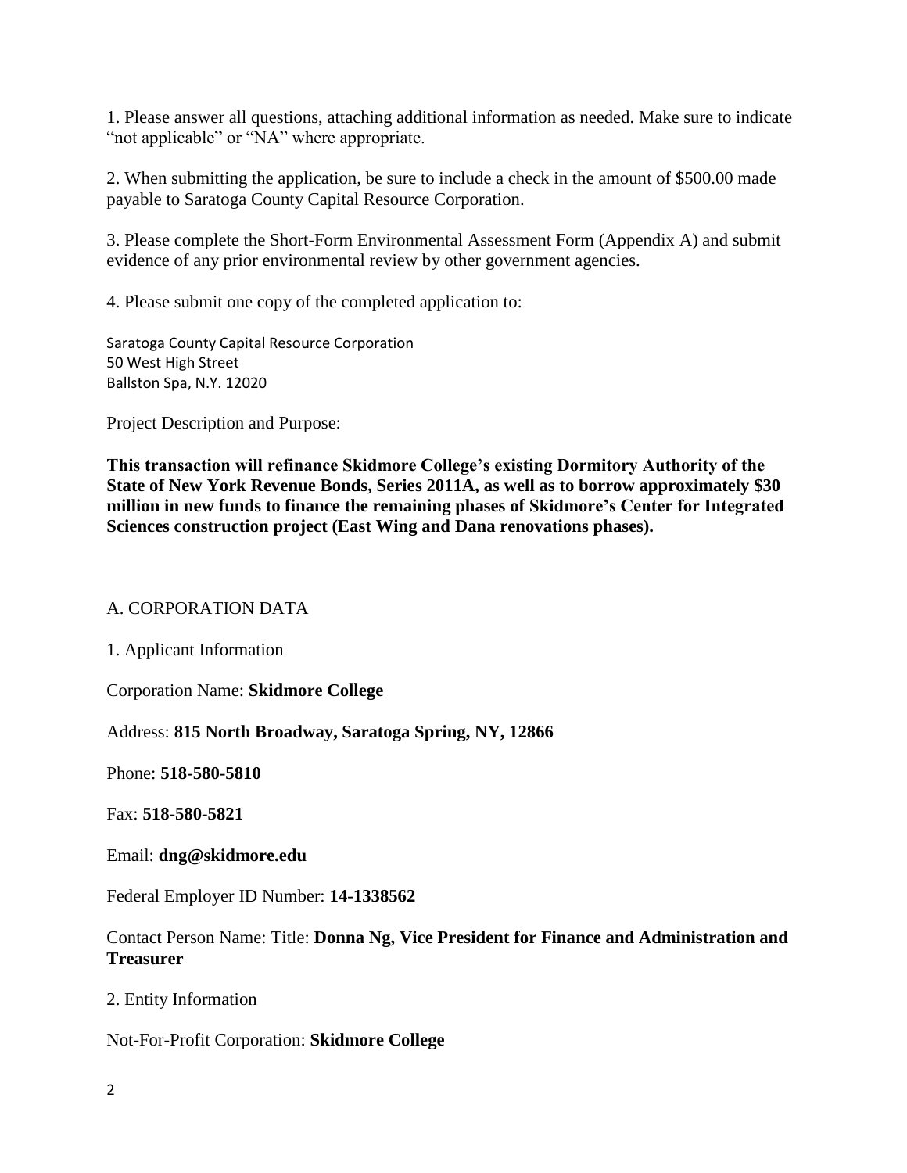1. Please answer all questions, attaching additional information as needed. Make sure to indicate "not applicable" or "NA" where appropriate.

2. When submitting the application, be sure to include a check in the amount of \$500.00 made payable to Saratoga County Capital Resource Corporation.

3. Please complete the Short-Form Environmental Assessment Form (Appendix A) and submit evidence of any prior environmental review by other government agencies.

4. Please submit one copy of the completed application to:

Saratoga County Capital Resource Corporation 50 West High Street Ballston Spa, N.Y. 12020

Project Description and Purpose:

**This transaction will refinance Skidmore College's existing Dormitory Authority of the State of New York Revenue Bonds, Series 2011A, as well as to borrow approximately \$30 million in new funds to finance the remaining phases of Skidmore's Center for Integrated Sciences construction project (East Wing and Dana renovations phases).** 

#### A. CORPORATION DATA

1. Applicant Information

Corporation Name: **Skidmore College**

Address: **815 North Broadway, Saratoga Spring, NY, 12866**

Phone: **518-580-5810**

Fax: **518-580-5821**

Email: **dng@skidmore.edu**

Federal Employer ID Number: **14-1338562**

Contact Person Name: Title: **Donna Ng, Vice President for Finance and Administration and Treasurer**

2. Entity Information

Not-For-Profit Corporation: **Skidmore College**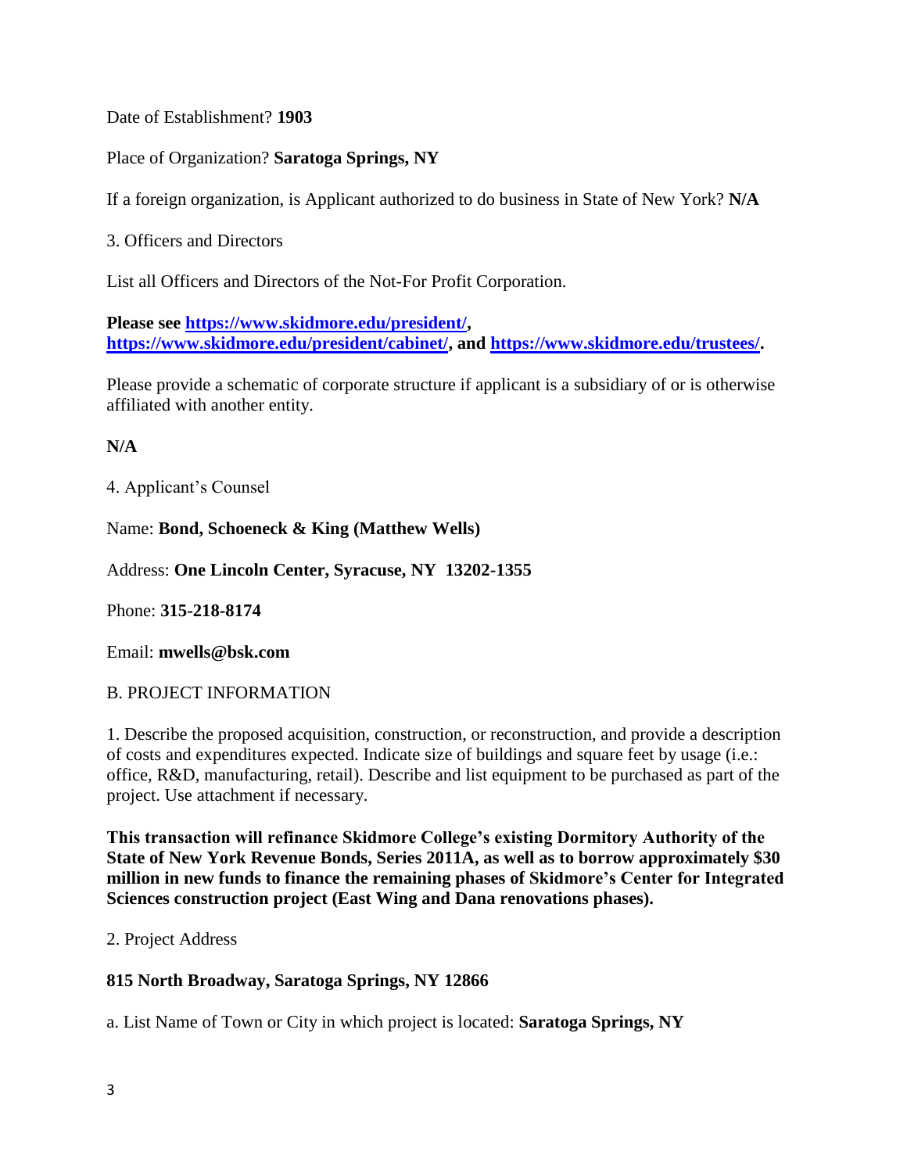Date of Establishment? **1903**

Place of Organization? **Saratoga Springs, NY**

If a foreign organization, is Applicant authorized to do business in State of New York? **N/A**

3. Officers and Directors

List all Officers and Directors of the Not-For Profit Corporation.

**Please see [https://www.skidmore.edu/president/,](https://www.skidmore.edu/president/) [https://www.skidmore.edu/president/cabinet/,](https://www.skidmore.edu/president/cabinet/) and [https://www.skidmore.edu/trustees/.](https://www.skidmore.edu/trustees/)**

Please provide a schematic of corporate structure if applicant is a subsidiary of or is otherwise affiliated with another entity.

## **N/A**

4. Applicant's Counsel

Name: **Bond, Schoeneck & King (Matthew Wells)**

Address: **One Lincoln Center, Syracuse, NY 13202-1355**

Phone: **315-218-8174**

Email: **mwells@bsk.com**

## B. PROJECT INFORMATION

1. Describe the proposed acquisition, construction, or reconstruction, and provide a description of costs and expenditures expected. Indicate size of buildings and square feet by usage (i.e.: office, R&D, manufacturing, retail). Describe and list equipment to be purchased as part of the project. Use attachment if necessary.

**This transaction will refinance Skidmore College's existing Dormitory Authority of the State of New York Revenue Bonds, Series 2011A, as well as to borrow approximately \$30 million in new funds to finance the remaining phases of Skidmore's Center for Integrated Sciences construction project (East Wing and Dana renovations phases).** 

2. Project Address

## **815 North Broadway, Saratoga Springs, NY 12866**

a. List Name of Town or City in which project is located: **Saratoga Springs, NY**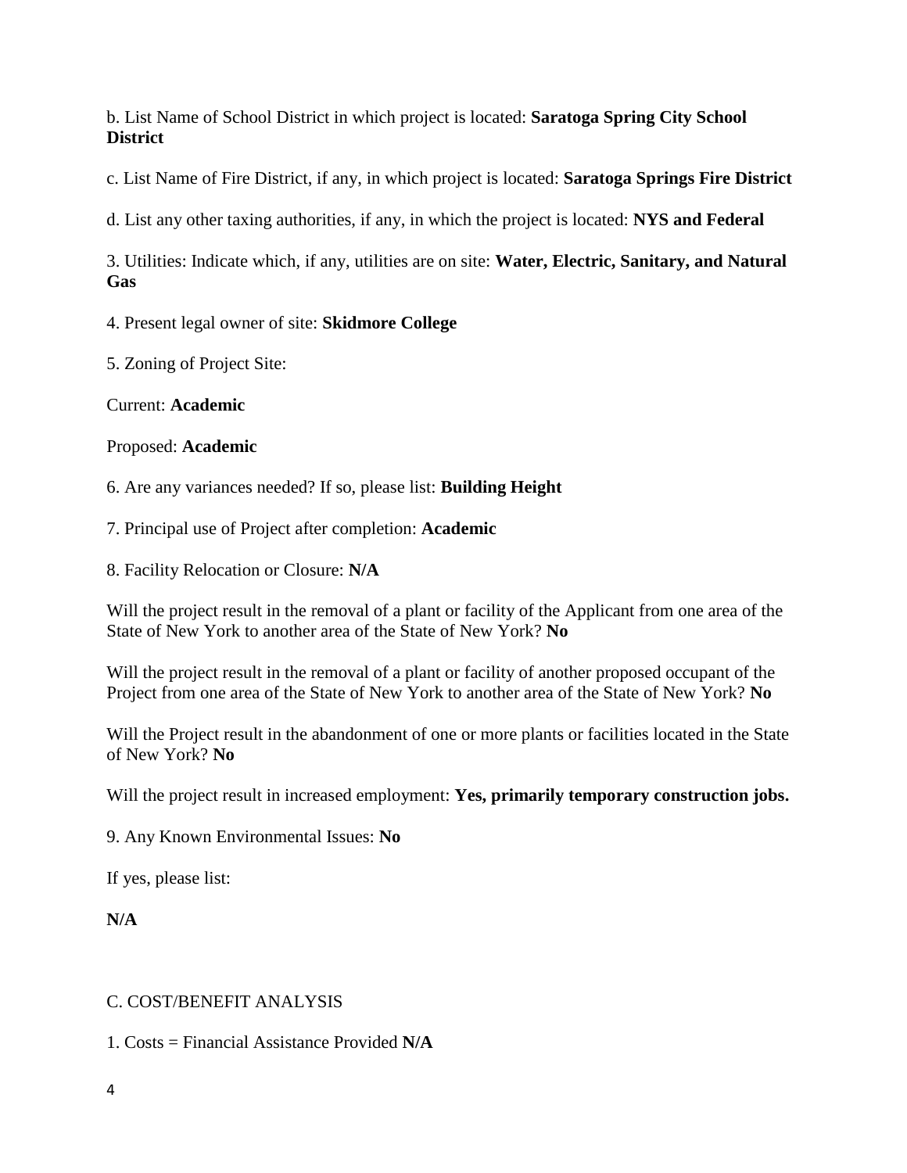b. List Name of School District in which project is located: **Saratoga Spring City School District**

c. List Name of Fire District, if any, in which project is located: **Saratoga Springs Fire District**

d. List any other taxing authorities, if any, in which the project is located: **NYS and Federal**

3. Utilities: Indicate which, if any, utilities are on site: **Water, Electric, Sanitary, and Natural Gas**

4. Present legal owner of site: **Skidmore College**

5. Zoning of Project Site:

Current: **Academic**

Proposed: **Academic**

6. Are any variances needed? If so, please list: **Building Height**

7. Principal use of Project after completion: **Academic**

8. Facility Relocation or Closure: **N/A**

Will the project result in the removal of a plant or facility of the Applicant from one area of the State of New York to another area of the State of New York? **No**

Will the project result in the removal of a plant or facility of another proposed occupant of the Project from one area of the State of New York to another area of the State of New York? **No**

Will the Project result in the abandonment of one or more plants or facilities located in the State of New York? **No**

Will the project result in increased employment: **Yes, primarily temporary construction jobs.**

9. Any Known Environmental Issues: **No**

If yes, please list:

**N/A**

## C. COST/BENEFIT ANALYSIS

1. Costs = Financial Assistance Provided **N/A**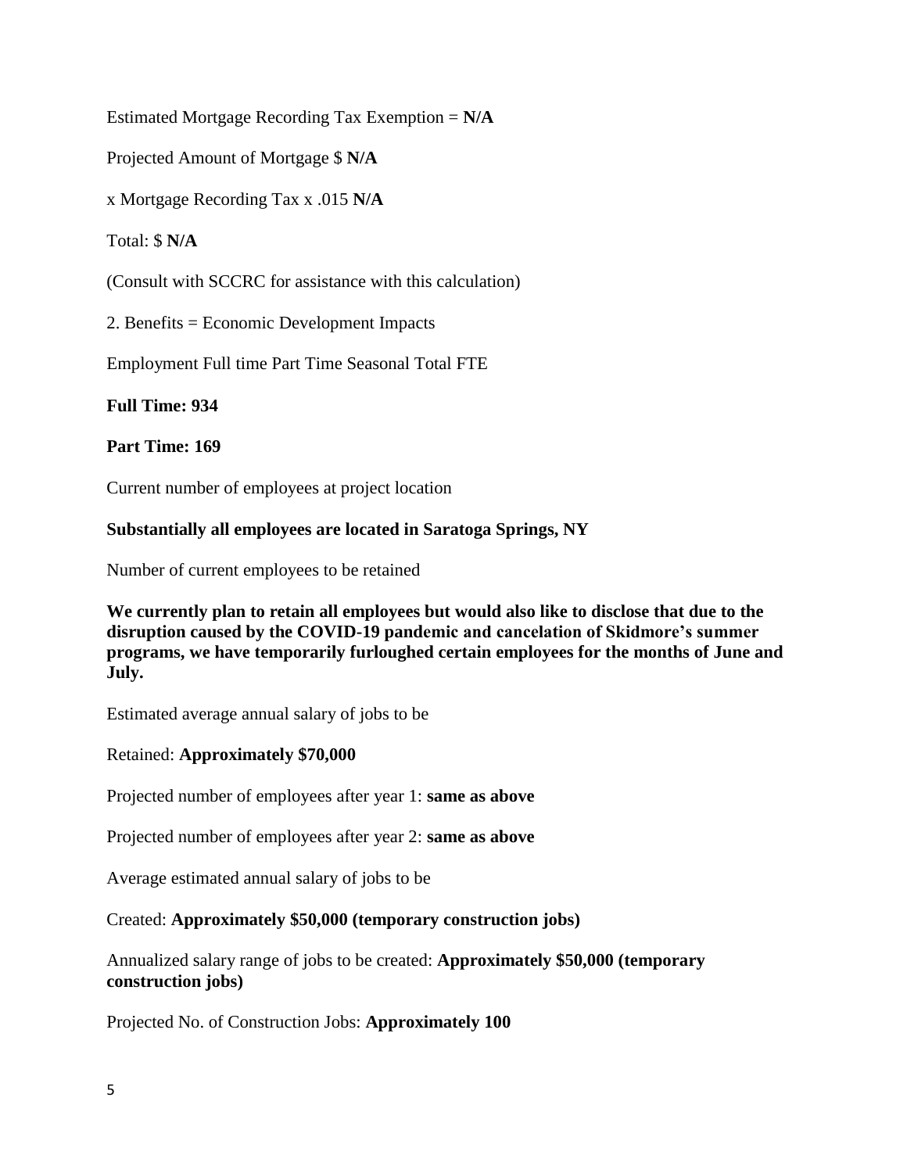Estimated Mortgage Recording Tax Exemption = **N/A**

Projected Amount of Mortgage \$ **N/A**

x Mortgage Recording Tax x .015 **N/A**

Total: \$ **N/A**

(Consult with SCCRC for assistance with this calculation)

2. Benefits = Economic Development Impacts

Employment Full time Part Time Seasonal Total FTE

**Full Time: 934**

**Part Time: 169**

Current number of employees at project location

#### **Substantially all employees are located in Saratoga Springs, NY**

Number of current employees to be retained

**We currently plan to retain all employees but would also like to disclose that due to the disruption caused by the COVID-19 pandemic and cancelation of Skidmore's summer programs, we have temporarily furloughed certain employees for the months of June and July.**

Estimated average annual salary of jobs to be

Retained: **Approximately \$70,000**

Projected number of employees after year 1: **same as above**

Projected number of employees after year 2: **same as above**

Average estimated annual salary of jobs to be

Created: **Approximately \$50,000 (temporary construction jobs)**

Annualized salary range of jobs to be created: **Approximately \$50,000 (temporary construction jobs)**

Projected No. of Construction Jobs: **Approximately 100**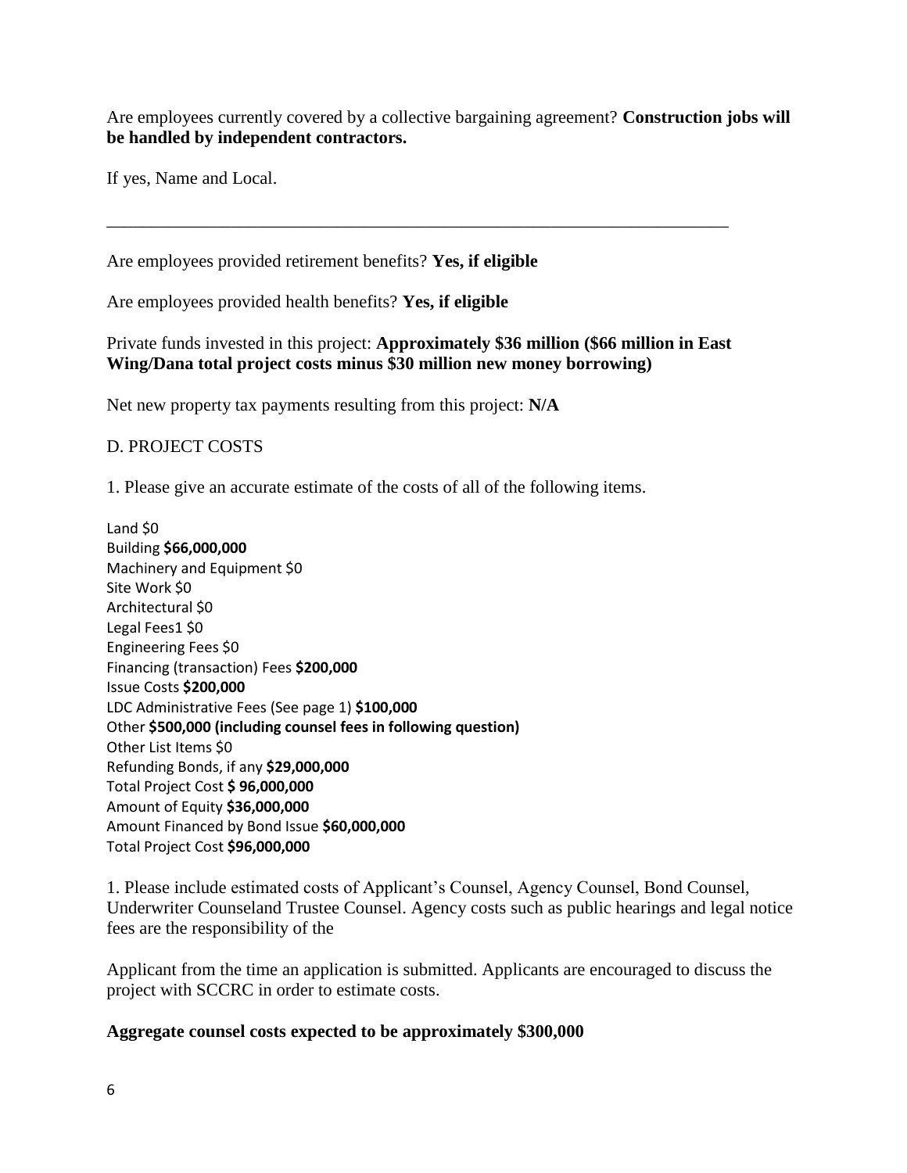Are employees currently covered by a collective bargaining agreement? **Construction jobs will be handled by independent contractors.**

If yes, Name and Local.

Are employees provided retirement benefits? **Yes, if eligible**

Are employees provided health benefits? **Yes, if eligible**

Private funds invested in this project: **Approximately \$36 million (\$66 million in East Wing/Dana total project costs minus \$30 million new money borrowing)**

\_\_\_\_\_\_\_\_\_\_\_\_\_\_\_\_\_\_\_\_\_\_\_\_\_\_\_\_\_\_\_\_\_\_\_\_\_\_\_\_\_\_\_\_\_\_\_\_\_\_\_\_\_\_\_\_\_\_\_\_\_\_\_\_\_\_\_\_\_\_

Net new property tax payments resulting from this project: **N/A**

#### D. PROJECT COSTS

1. Please give an accurate estimate of the costs of all of the following items.

Land \$0 Building **\$66,000,000** Machinery and Equipment \$0 Site Work \$0 Architectural \$0 Legal Fees1 \$0 Engineering Fees \$0 Financing (transaction) Fees **\$200,000** Issue Costs **\$200,000**  LDC Administrative Fees (See page 1) **\$100,000** Other **\$500,000 (including counsel fees in following question)** Other List Items \$0 Refunding Bonds, if any **\$29,000,000** Total Project Cost **\$ 96,000,000** Amount of Equity **\$36,000,000** Amount Financed by Bond Issue **\$60,000,000** Total Project Cost **\$96,000,000**

1. Please include estimated costs of Applicant's Counsel, Agency Counsel, Bond Counsel, Underwriter Counseland Trustee Counsel. Agency costs such as public hearings and legal notice fees are the responsibility of the

Applicant from the time an application is submitted. Applicants are encouraged to discuss the project with SCCRC in order to estimate costs.

#### **Aggregate counsel costs expected to be approximately \$300,000**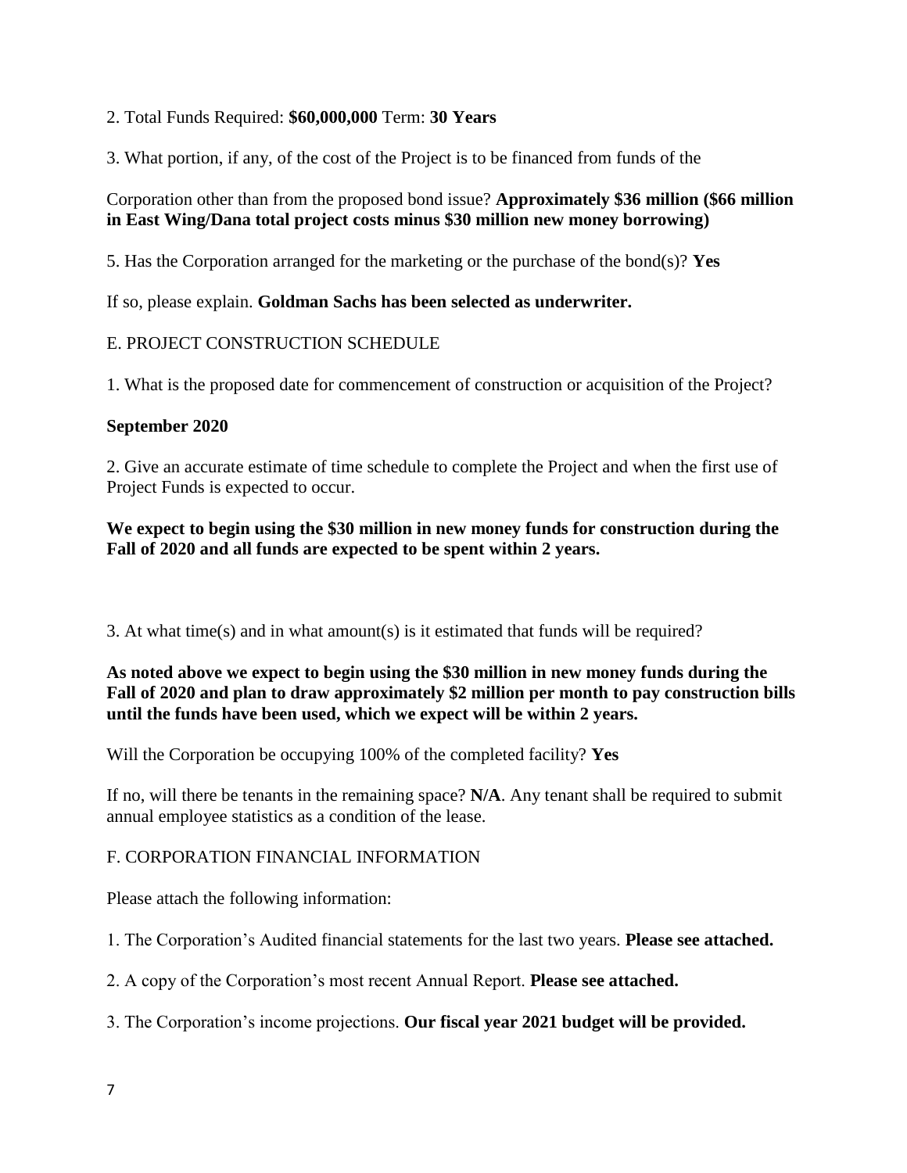## 2. Total Funds Required: **\$60,000,000** Term: **30 Years**

3. What portion, if any, of the cost of the Project is to be financed from funds of the

## Corporation other than from the proposed bond issue? **Approximately \$36 million (\$66 million in East Wing/Dana total project costs minus \$30 million new money borrowing)**

5. Has the Corporation arranged for the marketing or the purchase of the bond(s)? **Yes**

If so, please explain. **Goldman Sachs has been selected as underwriter.**

# E. PROJECT CONSTRUCTION SCHEDULE

1. What is the proposed date for commencement of construction or acquisition of the Project?

## **September 2020**

2. Give an accurate estimate of time schedule to complete the Project and when the first use of Project Funds is expected to occur.

## **We expect to begin using the \$30 million in new money funds for construction during the Fall of 2020 and all funds are expected to be spent within 2 years.**

3. At what time(s) and in what amount(s) is it estimated that funds will be required?

## **As noted above we expect to begin using the \$30 million in new money funds during the Fall of 2020 and plan to draw approximately \$2 million per month to pay construction bills until the funds have been used, which we expect will be within 2 years.**

Will the Corporation be occupying 100% of the completed facility? **Yes**

If no, will there be tenants in the remaining space? **N/A**. Any tenant shall be required to submit annual employee statistics as a condition of the lease.

## F. CORPORATION FINANCIAL INFORMATION

Please attach the following information:

1. The Corporation's Audited financial statements for the last two years. **Please see attached.**

2. A copy of the Corporation's most recent Annual Report. **Please see attached.**

3. The Corporation's income projections. **Our fiscal year 2021 budget will be provided.**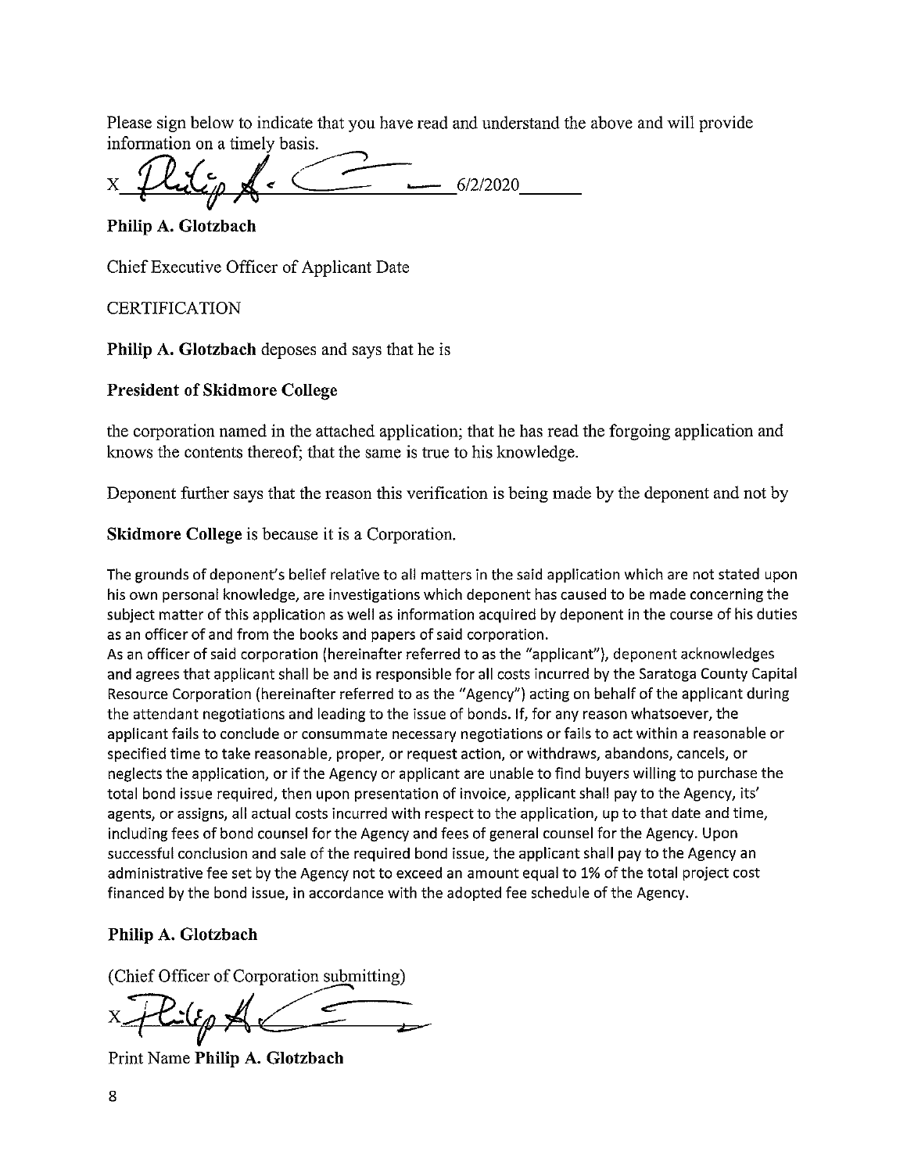Please sign below to indicate that you have read and understand the above and will provide information on a timely basis.

 $-6/2/2020$ 

Philip A. Glotzbach

Chief Executive Officer of Applicant Date

**CERTIFICATION** 

**Philip A. Glotzbach** deposes and says that he is

#### **President of Skidmore College**

the corporation named in the attached application; that he has read the forgoing application and knows the contents thereof; that the same is true to his knowledge.

Deponent further says that the reason this verification is being made by the deponent and not by

#### **Skidmore College** is because it is a Corporation.

The grounds of deponent's belief relative to all matters in the said application which are not stated upon his own personal knowledge, are investigations which deponent has caused to be made concerning the subject matter of this application as well as information acquired by deponent in the course of his duties as an officer of and from the books and papers of said corporation.

As an officer of said corporation (hereinafter referred to as the "applicant"), deponent acknowledges and agrees that applicant shall be and is responsible for all costs incurred by the Saratoga County Capital Resource Corporation (hereinafter referred to as the "Agency") acting on behalf of the applicant during the attendant negotiations and leading to the issue of bonds. If, for any reason whatsoever, the applicant fails to conclude or consummate necessary negotiations or fails to act within a reasonable or specified time to take reasonable, proper, or request action, or withdraws, abandons, cancels, or neglects the application, or if the Agency or applicant are unable to find buyers willing to purchase the total bond issue required, then upon presentation of invoice, applicant shall pay to the Agency, its' agents, or assigns, all actual costs incurred with respect to the application, up to that date and time, including fees of bond counsel for the Agency and fees of general counsel for the Agency. Upon successful conclusion and sale of the required bond issue, the applicant shall pay to the Agency an administrative fee set by the Agency not to exceed an amount equal to 1% of the total project cost financed by the bond issue, in accordance with the adopted fee schedule of the Agency.

#### Philip A. Glotzbach

(Chief Officer of Corporation submitting)

 $\leq$   $\leq$ 

Print Name Philip A. Glotzbach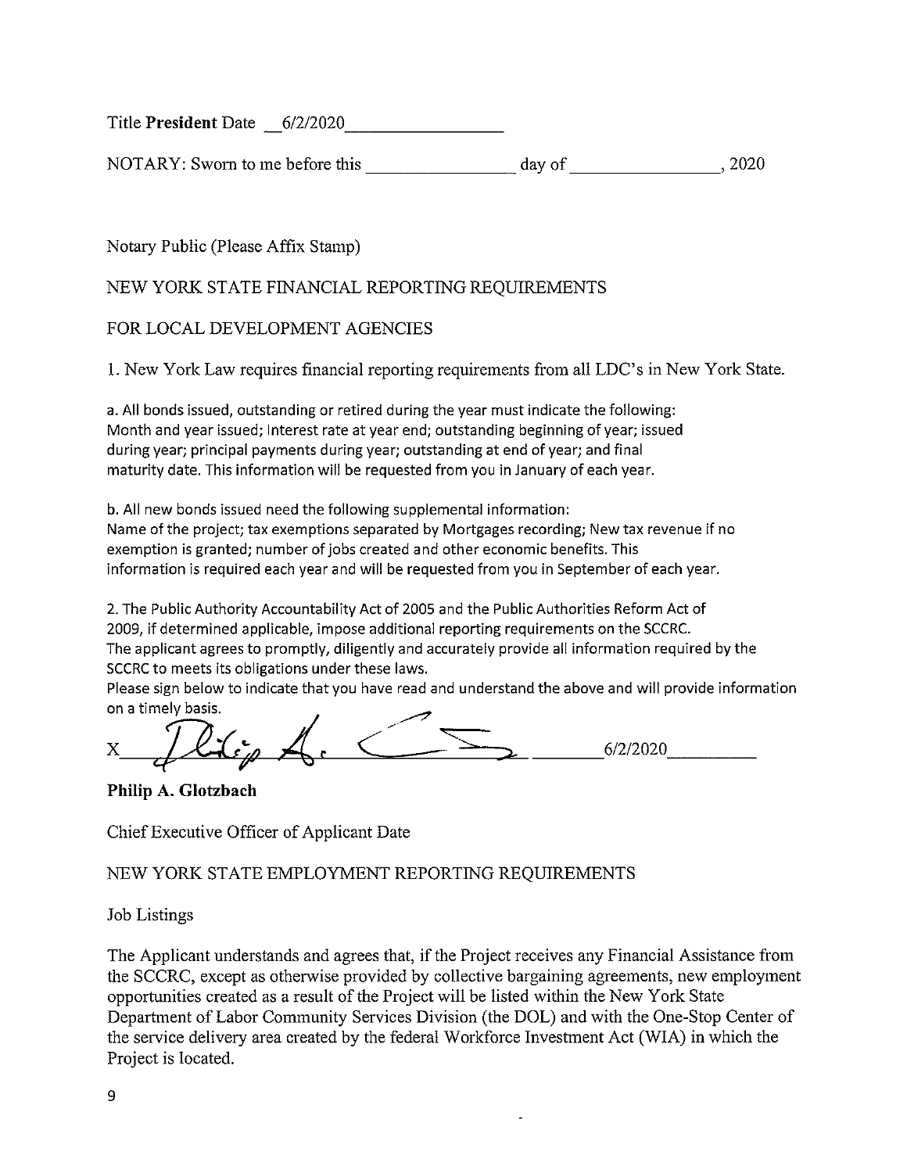Title President Date 6/2/2020

NOTARY: Sworn to me before this day of  $, 2020$ 

Notary Public (Please Affix Stamp)

# NEW YORK STATE FINANCIAL REPORTING REQUIREMENTS

# FOR LOCAL DEVELOPMENT AGENCIES

1. New York Law requires financial reporting requirements from all LDC's in New York State.

a. All bonds issued, outstanding or retired during the year must indicate the following: Month and year issued; Interest rate at year end; outstanding beginning of year; issued during year; principal payments during year; outstanding at end of year; and final maturity date. This information will be requested from you in January of each year.

b. All new bonds issued need the following supplemental information: Name of the project; tax exemptions separated by Mortgages recording; New tax revenue if no exemption is granted; number of jobs created and other economic benefits. This information is required each year and will be requested from you in September of each year.

2. The Public Authority Accountability Act of 2005 and the Public Authorities Reform Act of 2009, if determined applicable, impose additional reporting requirements on the SCCRC. The applicant agrees to promptly, diligently and accurately provide all information required by the SCCRC to meets its obligations under these laws.

Please sign below to indicate that you have read and understand the above and will provide information on a timely basis.

 $\sum$  6/2/2020

Philip A. Glotzbach

Chief Executive Officer of Applicant Date

NEW YORK STATE EMPLOYMENT REPORTING REQUIREMENTS

**Job Listings** 

The Applicant understands and agrees that, if the Project receives any Financial Assistance from the SCCRC, except as otherwise provided by collective bargaining agreements, new employment opportunities created as a result of the Project will be listed within the New York State Department of Labor Community Services Division (the DOL) and with the One-Stop Center of the service delivery area created by the federal Workforce Investment Act (WIA) in which the Project is located.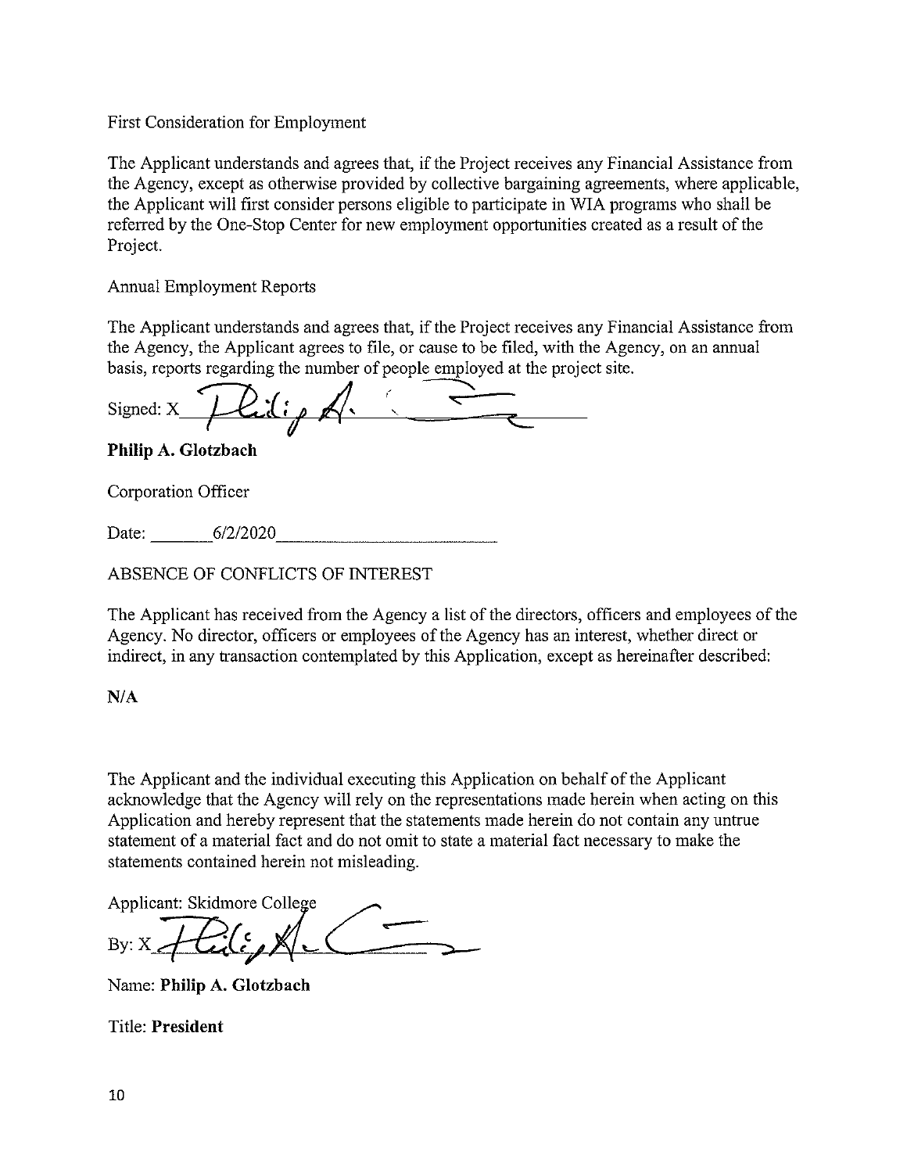## First Consideration for Employment

The Applicant understands and agrees that, if the Project receives any Financial Assistance from the Agency, except as otherwise provided by collective bargaining agreements, where applicable, the Applicant will first consider persons eligible to participate in WIA programs who shall be referred by the One-Stop Center for new employment opportunities created as a result of the Project.

**Annual Employment Reports** 

The Applicant understands and agrees that, if the Project receives any Financial Assistance from the Agency, the Applicant agrees to file, or cause to be filed, with the Agency, on an annual basis, reports regarding the number of people employed at the project site.

lidio d Signed: X

Philip A. Glotzbach

Corporation Officer

Date: 6/2/2020

ABSENCE OF CONFLICTS OF INTEREST

The Applicant has received from the Agency a list of the directors, officers and employees of the Agency. No director, officers or employees of the Agency has an interest, whether direct or indirect, in any transaction contemplated by this Application, except as hereinafter described:

 $N/A$ 

The Applicant and the individual executing this Application on behalf of the Applicant acknowledge that the Agency will rely on the representations made herein when acting on this Application and hereby represent that the statements made herein do not contain any untrue statement of a material fact and do not omit to state a material fact necessary to make the statements contained herein not misleading.

Applicant: Skidmore College

Name: Philip A. Glotzbach

**Title: President**